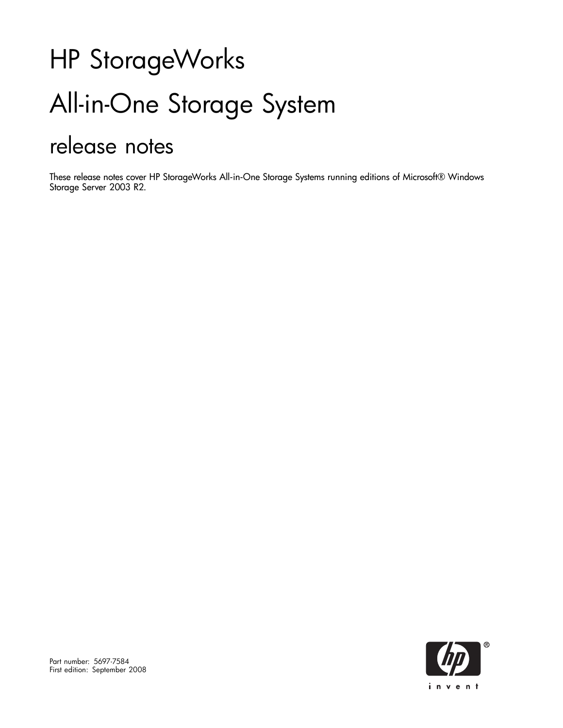# HP StorageWorks All-in-One Storage System release notes

These release notes cover HP StorageWorks All-in-One Storage Systems running editions of Microsoft® Windows Storage Server 2003 R2.

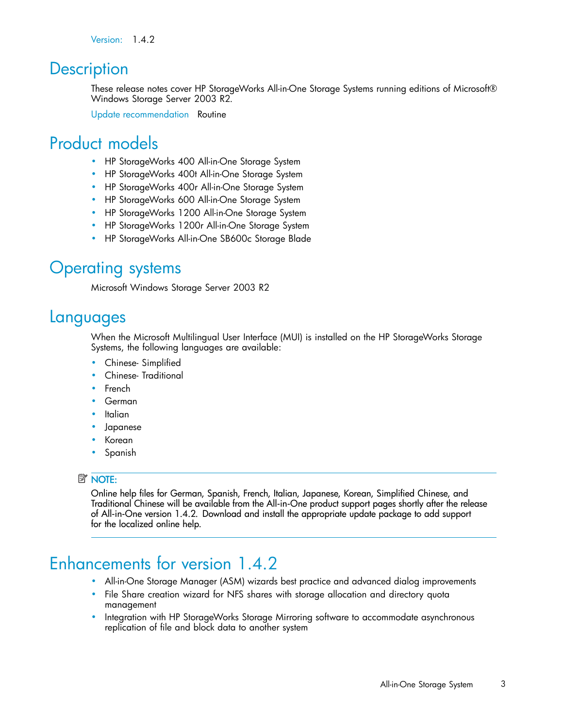Version: 1.4.2

## **Description**

These release notes cover HP StorageWorks All-in-One Storage Systems running editions of Microsoft® Windows Storage Server 2003 R2.

Update recommendation Routine

# Product models

- HP StorageWorks 400 All-in-One Storage System
- HP StorageWorks 400t All-in-One Storage System
- HP StorageWorks 400r All-in-One Storage System
- HP StorageWorks 600 All-in-One Storage System
- HP StorageWorks 1200 All-in-One Storage System
- HP StorageWorks 1200r All-in-One Storage System
- HP StorageWorks All-in-One SB600c Storage Blade

## Operating systems

Microsoft Windows Storage Server 2003 R2

## Languages

When the Microsoft Multilingual User Interface (MUI) is installed on the HP StorageWorks Storage Systems, the following languages are available:

- Chinese- Simplified
- Chinese- Traditional
- **French**
- German
- **Italian**
- **Japanese**
- Korean
- Spanish

#### **E** NOTE:

Online help files for German, Spanish, French, Italian, Japanese, Korean, Simplified Chinese, and Traditional Chinese will be available from the All-in-One product support pages shortly after the release of All-in-One version 1.4.2. Download and install the appropriate update package to add support for the localized online help.

# Enhancements for version 1.4.2

- All-in-One Storage Manager (ASM) wizards best practice and advanced dialog improvements
- File Share creation wizard for NFS shares with storage allocation and directory quota management
- Integration with HP StorageWorks Storage Mirroring software to accommodate asynchronous replication of file and block data to another system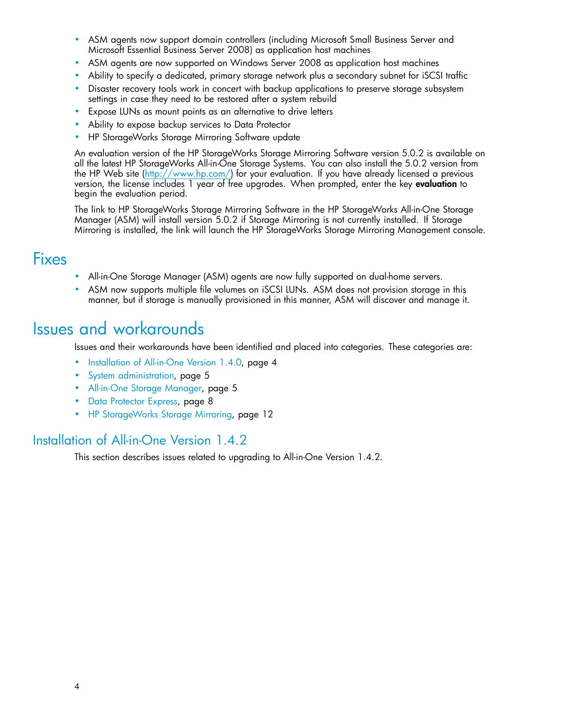- ASM agents now support domain controllers (including Microsoft Small Business Server and Microsoft Essential Business Server 2008) as application host machines
- ASM agents are now supported on Windows Server 2008 as application host machines
- Ability to specify a dedicated, primary storage network plus a secondary subnet for iSCSI traffic
- Disaster recovery tools work in concert with backup applications to preserve storage subsystem settings in case they need to be restored after a system rebuild
- Expose LUNs as mount points as an alternative to drive letters
- Ability to expose backup services to Data Protector
- HP StorageWorks Storage Mirroring Software update

An evaluation version of the HP StorageWorks Storage Mirroring Software version 5.0.2 is available on all the latest HP StorageWorks All-in-One Storage Systems. You can also install the 5.0.2 version from the HP Web site ([http://www.hp.com/\) for your evaluat](http://www.hp.com/)ion. If you have already licensed a previous version, the license includes 1 year of free upgrades. When prompted, enter the key evaluation to begin the evaluation period.

The link to HP StorageWorks Storage Mirroring Software in the HP StorageWorks All-in-One Storage Manager (ASM) will install version 5.0.2 if Storage Mirroring is not currently installed. If Storage Mirroring is installed, the link will launch the HP StorageWorks Storage Mirroring Management console.

## Fixes

- All-in-One Storage Manager (ASM) agents are now fully supported on dual-home servers.
- ASM now supports multiple file volumes on iSCSI LUNs. ASM does not provision storage in this manner, but if storage is manually provisioned in this manner, ASM will discover and manage it.

## Issues and workarounds

Issues and their workarounds have been identified and placed into categories. These categories are:

- Installation of All-in-One Version 1.4.0, page 4
- • [System administration, page 5](#page-4-0)
- • [All-in-One Storage Manager, page 5](#page-4-0)
- [Data Protector Express, page 8](#page-7-0)
- • [HP StorageWorks Storage Mirroring, page 12](#page-11-0)

#### Installation of All-in-One Version 1.4.2

This section describes issues related to upgrading to All-in-One Version 1.4.2.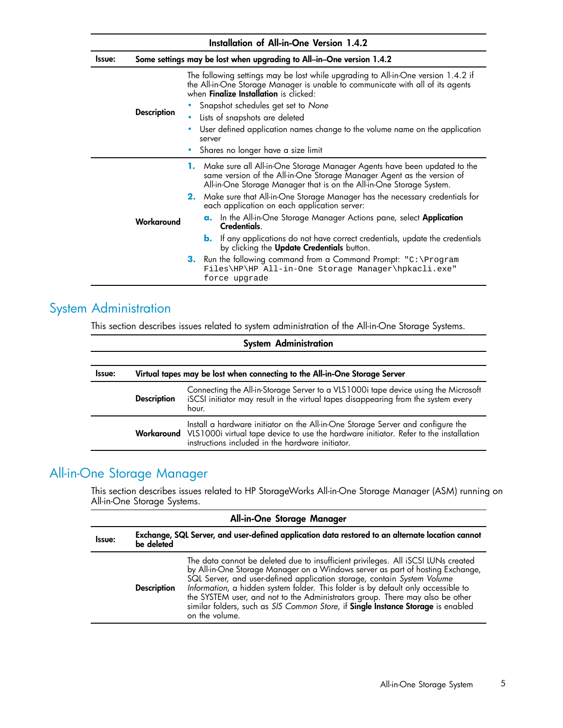<span id="page-4-0"></span>

|        | Installation of All-in-One Version 1.4.2 |                                                                                                                                                                                                                               |  |
|--------|------------------------------------------|-------------------------------------------------------------------------------------------------------------------------------------------------------------------------------------------------------------------------------|--|
| Issue: |                                          | Some settings may be lost when upgrading to All-in-One version 1.4.2                                                                                                                                                          |  |
|        |                                          | The following settings may be lost while upgrading to All-in-One version 1.4.2 if<br>the All-in-One Storage Manager is unable to communicate with all of its agents<br>when <b>Finalize Installation</b> is clicked:          |  |
|        |                                          | • Snapshot schedules get set to None                                                                                                                                                                                          |  |
|        | <b>Description</b>                       | • Lists of snapshots are deleted                                                                                                                                                                                              |  |
|        |                                          | User defined application names change to the volume name on the application<br>server                                                                                                                                         |  |
|        |                                          | • Shares no longer have a size limit                                                                                                                                                                                          |  |
|        |                                          | 1. Make sure all All-in-One Storage Manager Agents have been updated to the<br>same version of the All-in-One Storage Manager Agent as the version of<br>All-in-One Storage Manager that is on the All-in-One Storage System. |  |
|        |                                          | 2. Make sure that All-in-One Storage Manager has the necessary credentials for<br>each application on each application server:                                                                                                |  |
|        | Workaround                               | a. In the All-in-One Storage Manager Actions pane, select Application<br>Credentials.                                                                                                                                         |  |
|        |                                          | <b>b.</b> If any applications do not have correct credentials, update the credentials<br>by clicking the Update Credentials button.                                                                                           |  |
|        |                                          | 3. Run the following command from a Command Prompt: "C:\Program<br>Files\HP\HP All-in-One Storage Manager\hpkacli.exe"<br>force upgrade                                                                                       |  |

## System Administration

This section describes issues related to system administration of the All-in-One Storage Systems.

|                                                                                      | <b>System Administration</b> |                                                                                                                                                                                                                                         |  |
|--------------------------------------------------------------------------------------|------------------------------|-----------------------------------------------------------------------------------------------------------------------------------------------------------------------------------------------------------------------------------------|--|
| Virtual tapes may be lost when connecting to the All-in-One Storage Server<br>Issue: |                              |                                                                                                                                                                                                                                         |  |
|                                                                                      | <b>Description</b>           | Connecting the All-in-Storage Server to a VLS1000i tape device using the Microsoft<br>iSCSI initiator may result in the virtual tapes disappearing from the system every<br>hour.                                                       |  |
|                                                                                      |                              | Install a hardware initiator on the All-in-One Storage Server and configure the<br>Workaround VLS1000i virtual tape device to use the hardware initiator. Refer to the installation<br>instructions included in the hardware initiator. |  |

## All-in-One Storage Manager

This section describes issues related to HP StorageWorks All-in-One Storage Manager (ASM) running on All-in-One Storage Systems.

|               | All-in-One Storage Manager                                                                                     |                                                                                                                                                                                                                                                                                                                                                                                                                                                                                                                            |  |  |
|---------------|----------------------------------------------------------------------------------------------------------------|----------------------------------------------------------------------------------------------------------------------------------------------------------------------------------------------------------------------------------------------------------------------------------------------------------------------------------------------------------------------------------------------------------------------------------------------------------------------------------------------------------------------------|--|--|
| <b>Issue:</b> | Exchange, SQL Server, and user-defined application data restored to an alternate location cannot<br>be deleted |                                                                                                                                                                                                                                                                                                                                                                                                                                                                                                                            |  |  |
|               | <b>Description</b>                                                                                             | The data cannot be deleted due to insufficient privileges. All iSCSI LUNs created<br>by All-in-One Storage Manager on a Windows server as part of hosting Exchange,<br>SQL Server, and user-defined application storage, contain System Volume<br>Information, a hidden system folder. This folder is by default only accessible to<br>the SYSTEM user, and not to the Administrators group. There may also be other<br>similar folders, such as SIS Common Store, if Single Instance Storage is enabled<br>on the volume. |  |  |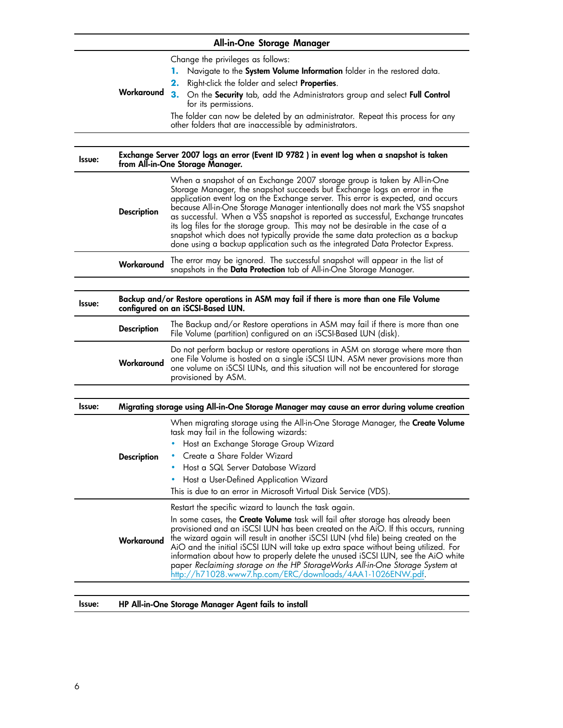| All-in-One Storage Manager |                                                                                                                             |                                                                                                                                                                                                                                                                                                                                                                                                                                                                                                                                                                                                                                                                        |
|----------------------------|-----------------------------------------------------------------------------------------------------------------------------|------------------------------------------------------------------------------------------------------------------------------------------------------------------------------------------------------------------------------------------------------------------------------------------------------------------------------------------------------------------------------------------------------------------------------------------------------------------------------------------------------------------------------------------------------------------------------------------------------------------------------------------------------------------------|
|                            |                                                                                                                             | Change the privileges as follows:<br>Navigate to the System Volume Information folder in the restored data.<br>1.<br>Right-click the folder and select <b>Properties</b> .                                                                                                                                                                                                                                                                                                                                                                                                                                                                                             |
|                            | Workaround                                                                                                                  | 3. On the Security tab, add the Administrators group and select Full Control<br>for its permissions.                                                                                                                                                                                                                                                                                                                                                                                                                                                                                                                                                                   |
|                            |                                                                                                                             | The folder can now be deleted by an administrator. Repeat this process for any<br>other folders that are inaccessible by administrators.                                                                                                                                                                                                                                                                                                                                                                                                                                                                                                                               |
|                            |                                                                                                                             |                                                                                                                                                                                                                                                                                                                                                                                                                                                                                                                                                                                                                                                                        |
| Issue:                     |                                                                                                                             | Exchange Server 2007 logs an error (Event ID 9782 ) in event log when a snapshot is taken<br>from All-in-One Storage Manager.                                                                                                                                                                                                                                                                                                                                                                                                                                                                                                                                          |
|                            | <b>Description</b>                                                                                                          | When a snapshot of an Exchange 2007 storage group is taken by All-in-One<br>Storage Manager, the snapshot succeeds but Exchange logs an error in the<br>application event log on the Exchange server. This error is expected, and occurs<br>because All-in-One Storage Manager intentionally does not mark the VSS snapshot<br>as successful. When a VSS snapshot is reported as successful, Exchange truncates<br>its log files for the storage group. This may not be desirable in the case of a<br>snapshot which does not typically provide the same data protection as a backup<br>done using a backup application such as the integrated Data Protector Express. |
|                            | Workaround                                                                                                                  | The error may be ignored. The successful snapshot will appear in the list of<br>snapshots in the Data Protection tab of All-in-One Storage Manager.                                                                                                                                                                                                                                                                                                                                                                                                                                                                                                                    |
|                            |                                                                                                                             |                                                                                                                                                                                                                                                                                                                                                                                                                                                                                                                                                                                                                                                                        |
| Issue:                     | Backup and/or Restore operations in ASM may fail if there is more than one File Volume<br>configured on an iSCSI-Based LUN. |                                                                                                                                                                                                                                                                                                                                                                                                                                                                                                                                                                                                                                                                        |
|                            | <b>Description</b>                                                                                                          | The Backup and/or Restore operations in ASM may fail if there is more than one<br>File Volume (partition) configured on an iSCSI-Based LUN (disk).                                                                                                                                                                                                                                                                                                                                                                                                                                                                                                                     |
|                            | Workaround                                                                                                                  | Do not perform backup or restore operations in ASM on storage where more than<br>one File Volume is hosted on a single iSCSI LUN. ASM never provisions more than<br>one volume on iSCSI LUNs, and this situation will not be encountered for storage<br>provisioned by ASM.                                                                                                                                                                                                                                                                                                                                                                                            |
|                            |                                                                                                                             |                                                                                                                                                                                                                                                                                                                                                                                                                                                                                                                                                                                                                                                                        |
| <b>Issue:</b>              |                                                                                                                             | Migrating storage using All-in-One Storage Manager may cause an error during volume creation                                                                                                                                                                                                                                                                                                                                                                                                                                                                                                                                                                           |
|                            |                                                                                                                             | When migrating storage using the All-in-One Storage Manager, the Create Volume<br>task may fail in the following wizards:                                                                                                                                                                                                                                                                                                                                                                                                                                                                                                                                              |
|                            |                                                                                                                             | • Host an Exchange Storage Group Wizard<br>Create a Share Folder Wizard                                                                                                                                                                                                                                                                                                                                                                                                                                                                                                                                                                                                |
|                            | <b>Description</b>                                                                                                          | Host a SQL Server Database Wizard                                                                                                                                                                                                                                                                                                                                                                                                                                                                                                                                                                                                                                      |
|                            |                                                                                                                             | Host a User-Defined Application Wizard                                                                                                                                                                                                                                                                                                                                                                                                                                                                                                                                                                                                                                 |
|                            |                                                                                                                             | This is due to an error in Microsoft Virtual Disk Service (VDS).                                                                                                                                                                                                                                                                                                                                                                                                                                                                                                                                                                                                       |
|                            |                                                                                                                             | Restart the specific wizard to launch the task again.                                                                                                                                                                                                                                                                                                                                                                                                                                                                                                                                                                                                                  |
|                            | Workaround                                                                                                                  | In some cases, the Create Volume task will fail after storage has already been<br>provisioned and an iSCSI LUN has been created on the AiO. If this occurs, running<br>the wizard again will result in another iSCSI LUN (vhd file) being created on the<br>AiO and the initial iSCSI LUN will take up extra space without being utilized. For<br>information about how to properly delete the unused iSCSI LUN, see the AiO white<br>paper Reclaiming storage on the HP StorageWorks All-in-One Storage System at<br>http://h71028.www7.hp.com/ERC/downloads/4AA1-1026ENW.pdf.                                                                                        |
|                            |                                                                                                                             |                                                                                                                                                                                                                                                                                                                                                                                                                                                                                                                                                                                                                                                                        |

Issue: HP All-in-One Storage Manager Agent fails to install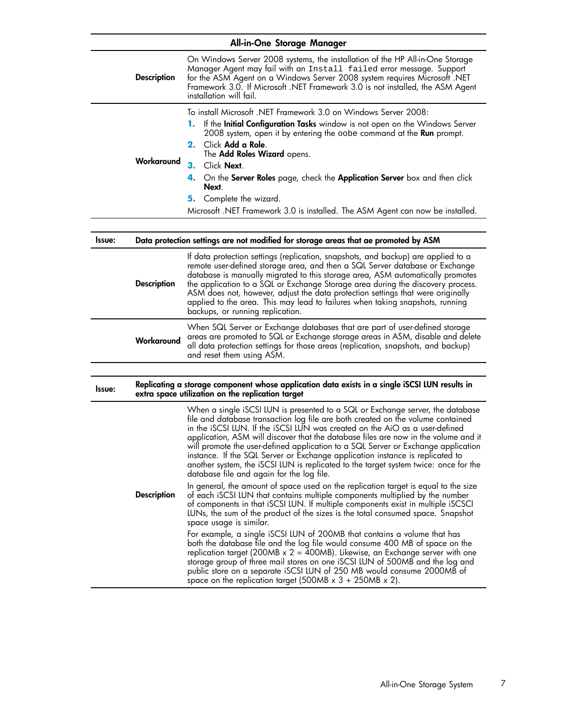|        | All-in-One Storage Manager |                                                                                                                                                                                                                                                                                                                                                                                                                                                                                                                                                                                                                                                                                                                                                                                                                                                                                                                                                                                                                                                                                                                                                                                                                                                                                                                                                  |  |
|--------|----------------------------|--------------------------------------------------------------------------------------------------------------------------------------------------------------------------------------------------------------------------------------------------------------------------------------------------------------------------------------------------------------------------------------------------------------------------------------------------------------------------------------------------------------------------------------------------------------------------------------------------------------------------------------------------------------------------------------------------------------------------------------------------------------------------------------------------------------------------------------------------------------------------------------------------------------------------------------------------------------------------------------------------------------------------------------------------------------------------------------------------------------------------------------------------------------------------------------------------------------------------------------------------------------------------------------------------------------------------------------------------|--|
|        | <b>Description</b>         | On Windows Server 2008 systems, the installation of the HP All-in-One Storage<br>Manager Agent may fail with an Install failed error message. Support<br>for the ASM Agent on a Windows Server 2008 system requires Microsoft .NET<br>Framework 3.0. If Microsoft .NET Framework 3.0 is not installed, the ASM Agent<br>installation will fail.                                                                                                                                                                                                                                                                                                                                                                                                                                                                                                                                                                                                                                                                                                                                                                                                                                                                                                                                                                                                  |  |
|        | Workaround                 | To install Microsoft .NET Framework 3.0 on Windows Server 2008:<br>If the <b>Initial Configuration Tasks</b> window is not open on the Windows Server<br>1. .<br>2008 system, open it by entering the oobe command at the <b>Run</b> prompt.<br>2. Click Add a Role.<br>The <b>Add Roles Wizard</b> opens.<br>3.<br>Click Next.<br>4. On the Server Roles page, check the Application Server box and then click<br>Next.<br>Complete the wizard.<br>5.<br>Microsoft .NET Framework 3.0 is installed. The ASM Agent can now be installed.                                                                                                                                                                                                                                                                                                                                                                                                                                                                                                                                                                                                                                                                                                                                                                                                         |  |
|        |                            |                                                                                                                                                                                                                                                                                                                                                                                                                                                                                                                                                                                                                                                                                                                                                                                                                                                                                                                                                                                                                                                                                                                                                                                                                                                                                                                                                  |  |
| Issue: |                            | Data protection settings are not modified for storage areas that ae promoted by ASM                                                                                                                                                                                                                                                                                                                                                                                                                                                                                                                                                                                                                                                                                                                                                                                                                                                                                                                                                                                                                                                                                                                                                                                                                                                              |  |
|        | <b>Description</b>         | If data protection settings (replication, snapshots, and backup) are applied to a<br>remote user-defined storage area, and then a SQL Server database or Exchange<br>database is manually migrated to this storage area, ASM automatically promotes<br>the application to a SQL or Exchange Storage area during the discovery process.<br>ASM does not, however, adjust the data protection settings that were originally<br>applied to the area. This may lead to failures when taking snapshots, running<br>backups, or running replication.                                                                                                                                                                                                                                                                                                                                                                                                                                                                                                                                                                                                                                                                                                                                                                                                   |  |
|        | Workaround                 | When SQL Server or Exchange databases that are part of user-defined storage<br>areas are promoted to SQL or Exchange storage areas in ASM, disable and delete<br>all data protection settings for those areas (replication, snapshots, and backup)<br>and reset them using ASM.                                                                                                                                                                                                                                                                                                                                                                                                                                                                                                                                                                                                                                                                                                                                                                                                                                                                                                                                                                                                                                                                  |  |
|        |                            |                                                                                                                                                                                                                                                                                                                                                                                                                                                                                                                                                                                                                                                                                                                                                                                                                                                                                                                                                                                                                                                                                                                                                                                                                                                                                                                                                  |  |
| Issue: |                            | Replicating a storage component whose application data exists in a single iSCSI LUN results in<br>extra space utilization on the replication target                                                                                                                                                                                                                                                                                                                                                                                                                                                                                                                                                                                                                                                                                                                                                                                                                                                                                                                                                                                                                                                                                                                                                                                              |  |
|        | <b>Description</b>         | When a single iSCSI LUN is presented to a SQL or Exchange server, the database<br>file and database transaction log file are both created on the volume contained<br>in the iSCSI LUN. If the iSCSI LUN was created on the AiO as a user-defined<br>application, ASM will discover that the database tiles are now in the volume and it<br>will promote the user-defined application to a SQL Server or Exchange application<br>instance. If the SQL Server or Exchange application instance is replicated to<br>another system, the iSCSI LUN is replicated to the target system twice: once for the<br>database file and again for the log file.<br>In general, the amount of space used on the replication target is equal to the size<br>of each iSCSI LUN that contains multiple components multiplied by the number<br>of components in that iSCSI LUN. If multiple components exist in multiple iSCSCI<br>LUNs, the sum of the product of the sizes is the total consumed space. Snapshot<br>space usage is similar.<br>$\frac{1}{2}$ complements $\frac{1}{2}$ $\frac{1}{2}$ $\frac{1}{2}$ $\frac{1}{2}$ $\frac{1}{2}$ $\frac{1}{2}$ $\frac{1}{2}$ $\frac{1}{2}$ $\frac{1}{2}$ $\frac{1}{2}$ $\frac{1}{2}$ $\frac{1}{2}$ $\frac{1}{2}$ $\frac{1}{2}$ $\frac{1}{2}$ $\frac{1}{2}$ $\frac{1}{2}$ $\frac{1}{2}$ $\frac{1}{2}$ $\frac{1}{2}$ |  |

For example, a single iSCSI LUN of 200MB that contains a volume that has both the database file and the log file would consume 400 MB of space on the replication target (200MB x 2 = 400MB). Likewise, an Exchange server with one storage group of three mail stores on one iSCSI LUN of 500MB and the log and public store on a separate iSCSI LUN of 250 MB would consume 2000MB of space on the replication target (500MB  $\times$  3 + 250MB  $\times$  2).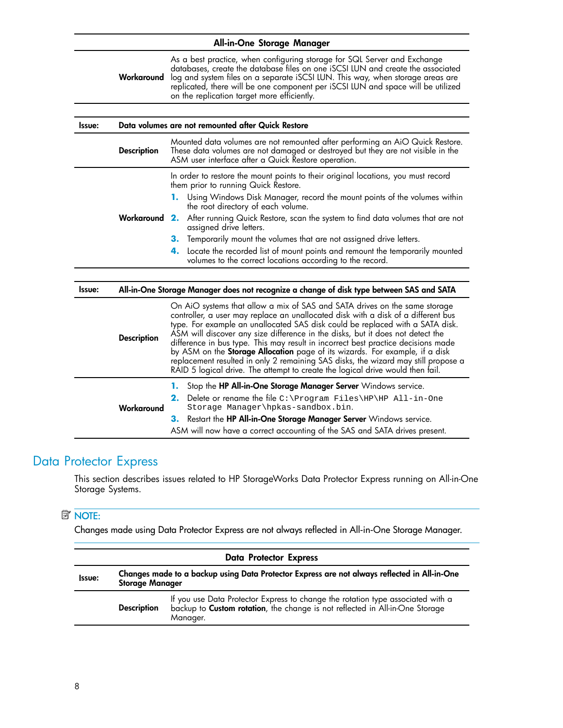<span id="page-7-0"></span>

| As a best practice, when configuring storage for SQL Server and Exchange<br>databases, create the database files on one iSCSI LUN and create the associated<br>Workaround<br>log and system files on a separate iSCSI LUN. This way, when storage areas are<br>replicated, there will be one component per iSCSI LUN and space will be utilized<br>on the replication target more efficiently.<br>Data volumes are not remounted after Quick Restore<br>Issue:<br>Mounted data volumes are not remounted atter performing an AiO Quick Restore.<br><b>Description</b><br>These data volumes are not damaged or destroyed but they are not visible in the<br>ASM user interface after a Quick Restore operation.<br>In order to restore the mount points to their original locations, you must record<br>them prior to running Quick Restore.<br>Using Windows Disk Manager, record the mount points of the volumes within<br>1.<br>the root directory of each volume.<br>Workaround 2.<br>After running Quick Restore, scan the system to find data volumes that are not<br>assigned drive letters.<br>Temporarily mount the volumes that are not assigned drive letters.<br>З.<br>Locate the recorded list of mount points and remount the temporarily mounted<br>4.<br>volumes to the correct locations according to the record.<br>All-in-One Storage Manager does not recognize a change of disk type between SAS and SATA<br>Issue:<br>On AiO systems that allow a mix of SAS and SATA drives on the same storage<br>controller, a user may replace an unallocated disk with a disk of a different bus<br>type. For example an unallocated SAS disk could be replaced with a SATA disk.<br>ASM will discover any size difference in the disks, but it does not detect the<br><b>Description</b><br>difference in bus type. This may result in incorrect best practice decisions made<br>by ASM on the <b>Storage Allocation</b> page of its wizards. For example, if a disk<br>replacement resulted in only 2 remaining SAS disks, the wizard may still propose a<br>RAID 5 logical drive. The attempt to create the logical drive would then fail.<br>Stop the HP All-in-One Storage Manager Server Windows service.<br>1.<br>2.<br>Delete or rename the file $C:\begin{equation} Files\HP\HP\ All-in-one \end{equation}$<br>Storage Manager\hpkas-sandbox.bin.<br>Workaround<br>Restart the HP All-in-One Storage Manager Server Windows service.<br>З.<br>ASM will now have a correct accounting of the SAS and SATA drives present. |  | All-in-One Storage Manager |  |  |
|----------------------------------------------------------------------------------------------------------------------------------------------------------------------------------------------------------------------------------------------------------------------------------------------------------------------------------------------------------------------------------------------------------------------------------------------------------------------------------------------------------------------------------------------------------------------------------------------------------------------------------------------------------------------------------------------------------------------------------------------------------------------------------------------------------------------------------------------------------------------------------------------------------------------------------------------------------------------------------------------------------------------------------------------------------------------------------------------------------------------------------------------------------------------------------------------------------------------------------------------------------------------------------------------------------------------------------------------------------------------------------------------------------------------------------------------------------------------------------------------------------------------------------------------------------------------------------------------------------------------------------------------------------------------------------------------------------------------------------------------------------------------------------------------------------------------------------------------------------------------------------------------------------------------------------------------------------------------------------------------------------------------------------------------------------------------------------------------------------------------------------------------------------------------------------------------------------------------------------------------------------------------------------------------------------------------------------------------------------------------------------------------------------------------------------------------------------------------------------------------------------------------------------------------|--|----------------------------|--|--|
|                                                                                                                                                                                                                                                                                                                                                                                                                                                                                                                                                                                                                                                                                                                                                                                                                                                                                                                                                                                                                                                                                                                                                                                                                                                                                                                                                                                                                                                                                                                                                                                                                                                                                                                                                                                                                                                                                                                                                                                                                                                                                                                                                                                                                                                                                                                                                                                                                                                                                                                                              |  |                            |  |  |
|                                                                                                                                                                                                                                                                                                                                                                                                                                                                                                                                                                                                                                                                                                                                                                                                                                                                                                                                                                                                                                                                                                                                                                                                                                                                                                                                                                                                                                                                                                                                                                                                                                                                                                                                                                                                                                                                                                                                                                                                                                                                                                                                                                                                                                                                                                                                                                                                                                                                                                                                              |  |                            |  |  |
|                                                                                                                                                                                                                                                                                                                                                                                                                                                                                                                                                                                                                                                                                                                                                                                                                                                                                                                                                                                                                                                                                                                                                                                                                                                                                                                                                                                                                                                                                                                                                                                                                                                                                                                                                                                                                                                                                                                                                                                                                                                                                                                                                                                                                                                                                                                                                                                                                                                                                                                                              |  |                            |  |  |
|                                                                                                                                                                                                                                                                                                                                                                                                                                                                                                                                                                                                                                                                                                                                                                                                                                                                                                                                                                                                                                                                                                                                                                                                                                                                                                                                                                                                                                                                                                                                                                                                                                                                                                                                                                                                                                                                                                                                                                                                                                                                                                                                                                                                                                                                                                                                                                                                                                                                                                                                              |  |                            |  |  |
|                                                                                                                                                                                                                                                                                                                                                                                                                                                                                                                                                                                                                                                                                                                                                                                                                                                                                                                                                                                                                                                                                                                                                                                                                                                                                                                                                                                                                                                                                                                                                                                                                                                                                                                                                                                                                                                                                                                                                                                                                                                                                                                                                                                                                                                                                                                                                                                                                                                                                                                                              |  |                            |  |  |
|                                                                                                                                                                                                                                                                                                                                                                                                                                                                                                                                                                                                                                                                                                                                                                                                                                                                                                                                                                                                                                                                                                                                                                                                                                                                                                                                                                                                                                                                                                                                                                                                                                                                                                                                                                                                                                                                                                                                                                                                                                                                                                                                                                                                                                                                                                                                                                                                                                                                                                                                              |  |                            |  |  |
|                                                                                                                                                                                                                                                                                                                                                                                                                                                                                                                                                                                                                                                                                                                                                                                                                                                                                                                                                                                                                                                                                                                                                                                                                                                                                                                                                                                                                                                                                                                                                                                                                                                                                                                                                                                                                                                                                                                                                                                                                                                                                                                                                                                                                                                                                                                                                                                                                                                                                                                                              |  |                            |  |  |
|                                                                                                                                                                                                                                                                                                                                                                                                                                                                                                                                                                                                                                                                                                                                                                                                                                                                                                                                                                                                                                                                                                                                                                                                                                                                                                                                                                                                                                                                                                                                                                                                                                                                                                                                                                                                                                                                                                                                                                                                                                                                                                                                                                                                                                                                                                                                                                                                                                                                                                                                              |  |                            |  |  |
|                                                                                                                                                                                                                                                                                                                                                                                                                                                                                                                                                                                                                                                                                                                                                                                                                                                                                                                                                                                                                                                                                                                                                                                                                                                                                                                                                                                                                                                                                                                                                                                                                                                                                                                                                                                                                                                                                                                                                                                                                                                                                                                                                                                                                                                                                                                                                                                                                                                                                                                                              |  |                            |  |  |
|                                                                                                                                                                                                                                                                                                                                                                                                                                                                                                                                                                                                                                                                                                                                                                                                                                                                                                                                                                                                                                                                                                                                                                                                                                                                                                                                                                                                                                                                                                                                                                                                                                                                                                                                                                                                                                                                                                                                                                                                                                                                                                                                                                                                                                                                                                                                                                                                                                                                                                                                              |  |                            |  |  |
|                                                                                                                                                                                                                                                                                                                                                                                                                                                                                                                                                                                                                                                                                                                                                                                                                                                                                                                                                                                                                                                                                                                                                                                                                                                                                                                                                                                                                                                                                                                                                                                                                                                                                                                                                                                                                                                                                                                                                                                                                                                                                                                                                                                                                                                                                                                                                                                                                                                                                                                                              |  |                            |  |  |
|                                                                                                                                                                                                                                                                                                                                                                                                                                                                                                                                                                                                                                                                                                                                                                                                                                                                                                                                                                                                                                                                                                                                                                                                                                                                                                                                                                                                                                                                                                                                                                                                                                                                                                                                                                                                                                                                                                                                                                                                                                                                                                                                                                                                                                                                                                                                                                                                                                                                                                                                              |  |                            |  |  |
|                                                                                                                                                                                                                                                                                                                                                                                                                                                                                                                                                                                                                                                                                                                                                                                                                                                                                                                                                                                                                                                                                                                                                                                                                                                                                                                                                                                                                                                                                                                                                                                                                                                                                                                                                                                                                                                                                                                                                                                                                                                                                                                                                                                                                                                                                                                                                                                                                                                                                                                                              |  |                            |  |  |
|                                                                                                                                                                                                                                                                                                                                                                                                                                                                                                                                                                                                                                                                                                                                                                                                                                                                                                                                                                                                                                                                                                                                                                                                                                                                                                                                                                                                                                                                                                                                                                                                                                                                                                                                                                                                                                                                                                                                                                                                                                                                                                                                                                                                                                                                                                                                                                                                                                                                                                                                              |  |                            |  |  |
|                                                                                                                                                                                                                                                                                                                                                                                                                                                                                                                                                                                                                                                                                                                                                                                                                                                                                                                                                                                                                                                                                                                                                                                                                                                                                                                                                                                                                                                                                                                                                                                                                                                                                                                                                                                                                                                                                                                                                                                                                                                                                                                                                                                                                                                                                                                                                                                                                                                                                                                                              |  |                            |  |  |
|                                                                                                                                                                                                                                                                                                                                                                                                                                                                                                                                                                                                                                                                                                                                                                                                                                                                                                                                                                                                                                                                                                                                                                                                                                                                                                                                                                                                                                                                                                                                                                                                                                                                                                                                                                                                                                                                                                                                                                                                                                                                                                                                                                                                                                                                                                                                                                                                                                                                                                                                              |  |                            |  |  |

#### Data Protector Express

This section describes issues related to HP StorageWorks Data Protector Express running on All-in-One Storage Systems.

#### **NOTE:**

Changes made using Data Protector Express are not always reflected in All-in-One Storage Manager.

| <b>Data Protector Express</b> |                                                                                                                        |                                                                                                                                                                          |
|-------------------------------|------------------------------------------------------------------------------------------------------------------------|--------------------------------------------------------------------------------------------------------------------------------------------------------------------------|
| Issue:                        | Changes made to a backup using Data Protector Express are not always reflected in All-in-One<br><b>Storage Manager</b> |                                                                                                                                                                          |
|                               | <b>Description</b>                                                                                                     | If you use Data Protector Express to change the rotation type associated with a backup to Custom rotation, the change is not reflected in All-in-One Storage<br>Manager. |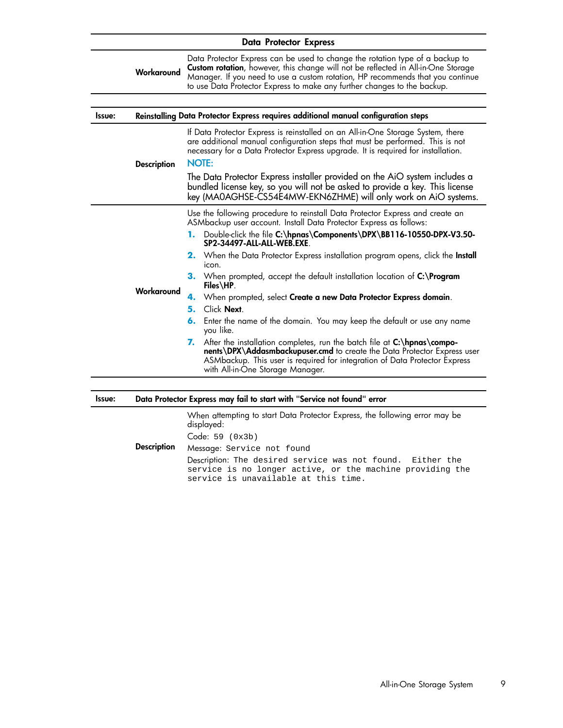| <b>Data Protector Express</b> |                    |                                                                                                                                                                                                                                                                                                                                  |
|-------------------------------|--------------------|----------------------------------------------------------------------------------------------------------------------------------------------------------------------------------------------------------------------------------------------------------------------------------------------------------------------------------|
|                               | Workaround         | Data Protector Express can be used to change the rotation type of a backup to<br>Custom rotation, however, this change will not be reflected in All-in-One Storage<br>Manager. If you need to use a custom rotation, HP recommends that you continue<br>to use Data Protector Express to make any further changes to the backup. |
|                               |                    |                                                                                                                                                                                                                                                                                                                                  |
| Issue:                        |                    | Reinstalling Data Protector Express requires additional manual configuration steps                                                                                                                                                                                                                                               |
|                               | <b>Description</b> | If Data Protector Express is reinstalled on an All-in-One Storage System, there<br>are additional manual configuration steps that must be performed. This is not<br>necessary for a Data Protector Express upgrade. It is required for installation.<br><b>NOTE:</b>                                                             |
|                               |                    | The Data Protector Express installer provided on the AiO system includes a<br>bundled license key, so you will not be asked to provide a key. This license<br>key (MA0AGHSE-CS54E4MW-EKN6ZHME) will only work on AiO systems.                                                                                                    |
|                               |                    | Use the following procedure to reinstall Data Protector Express and create an<br>ASMbackup user account. Install Data Protector Express as follows:<br>1. Double-click the file C:\hpnas\Components\DPX\BB116-10550-DPX-V3.50-<br>SP2-34497-ALL-ALL-WEB.EXE                                                                      |
|                               |                    | <b>2.</b> When the Data Protector Express installation program opens, click the <b>Install</b><br>icon.<br>3. When prompted, accept the default installation location of C:\Program<br>Files\HP.                                                                                                                                 |
|                               | Workaround         | 4. When prompted, select Create a new Data Protector Express domain.                                                                                                                                                                                                                                                             |
|                               |                    | Click Next.<br>5.                                                                                                                                                                                                                                                                                                                |
|                               |                    | Enter the name of the domain. You may keep the default or use any name<br>6.<br>you like.                                                                                                                                                                                                                                        |
|                               |                    | 7. After the installation completes, run the batch file at C:\hpnas\compo-<br>nents\DPX\Addasmbackupuser.cmd to create the Data Protector Express user<br>ASMbackup. This user is required for integration of Data Protector Express<br>with All-in-One Storage Manager.                                                         |
|                               |                    |                                                                                                                                                                                                                                                                                                                                  |

| Issue: |                    | Data Protector Express may fail to start with "Service not found" error                                                                                         |
|--------|--------------------|-----------------------------------------------------------------------------------------------------------------------------------------------------------------|
|        |                    | When attempting to start Data Protector Express, the following error may be<br>displayed:                                                                       |
|        |                    | Code: 59 (0x3b)                                                                                                                                                 |
|        | <b>Description</b> | Message: Service not found                                                                                                                                      |
|        |                    | Description: The desired service was not found. Either the<br>service is no longer active, or the machine providing the<br>service is unavailable at this time. |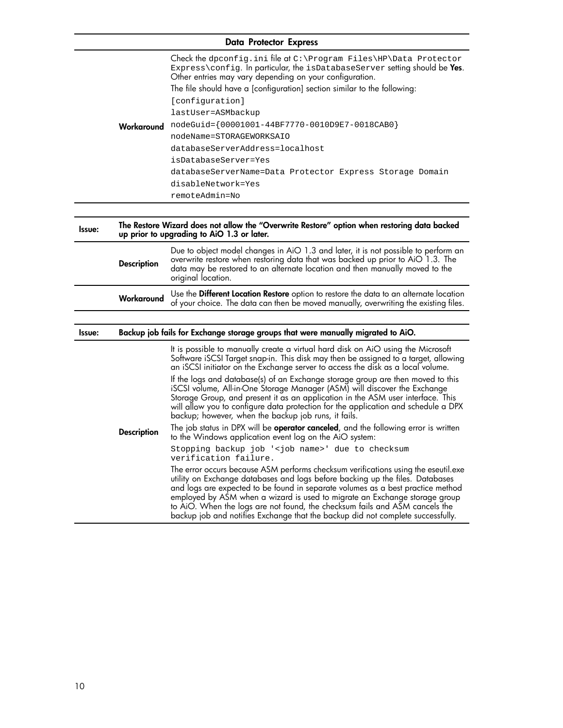|               |                    | <b>Data Protector Express</b>                                                                                                                                                                                                                                                                                                                                                                                                                                                                                                                                                                                                                                                                                                                                                                                                                                                                                                                                                                                                                                                                                                                                                                                                                                                                                                                                                                                                 |
|---------------|--------------------|-------------------------------------------------------------------------------------------------------------------------------------------------------------------------------------------------------------------------------------------------------------------------------------------------------------------------------------------------------------------------------------------------------------------------------------------------------------------------------------------------------------------------------------------------------------------------------------------------------------------------------------------------------------------------------------------------------------------------------------------------------------------------------------------------------------------------------------------------------------------------------------------------------------------------------------------------------------------------------------------------------------------------------------------------------------------------------------------------------------------------------------------------------------------------------------------------------------------------------------------------------------------------------------------------------------------------------------------------------------------------------------------------------------------------------|
|               | Workaround         | Check the dpconfig.ini file at C:\Program Files\HP\Data Protector<br>Express\config. In particular, the isDatabaseServer setting should be Yes.<br>Other entries may vary depending on your configuration.<br>The file should have a [configuration] section similar to the following:<br>[configuration]<br>lastUser=ASMbackup<br>nodeGuid={00001001-44BF7770-0010D9E7-0018CAB0}<br>nodeName=STORAGEWORKSAIO<br>databaseServerAddress=localhost<br>isDatabaseServer=Yes<br>databaseServerName=Data Protector Express Storage Domain<br>disableNetwork=Yes<br>remoteAdmin=No                                                                                                                                                                                                                                                                                                                                                                                                                                                                                                                                                                                                                                                                                                                                                                                                                                                  |
|               |                    |                                                                                                                                                                                                                                                                                                                                                                                                                                                                                                                                                                                                                                                                                                                                                                                                                                                                                                                                                                                                                                                                                                                                                                                                                                                                                                                                                                                                                               |
| Issue:        |                    | The Restore Wizard does not allow the "Overwrite Restore" option when restoring data backed<br>up prior to upgrading to AiO 1.3 or later.                                                                                                                                                                                                                                                                                                                                                                                                                                                                                                                                                                                                                                                                                                                                                                                                                                                                                                                                                                                                                                                                                                                                                                                                                                                                                     |
|               | <b>Description</b> | Due to object model changes in AiO 1.3 and later, it is not possible to perform an<br>overwrite restore when restoring data that was backed up prior to AiO 1.3. The<br>data may be restored to an alternate location and then manually moved to the<br>original location.                                                                                                                                                                                                                                                                                                                                                                                                                                                                                                                                                                                                                                                                                                                                                                                                                                                                                                                                                                                                                                                                                                                                                    |
|               | Workaround         | Use the Different Location Restore option to restore the data to an alternate location<br>of your choice. The data can then be moved manually, overwriting the existing files.                                                                                                                                                                                                                                                                                                                                                                                                                                                                                                                                                                                                                                                                                                                                                                                                                                                                                                                                                                                                                                                                                                                                                                                                                                                |
|               |                    |                                                                                                                                                                                                                                                                                                                                                                                                                                                                                                                                                                                                                                                                                                                                                                                                                                                                                                                                                                                                                                                                                                                                                                                                                                                                                                                                                                                                                               |
| <b>Issue:</b> |                    | Backup job fails for Exchange storage groups that were manually migrated to AiO.                                                                                                                                                                                                                                                                                                                                                                                                                                                                                                                                                                                                                                                                                                                                                                                                                                                                                                                                                                                                                                                                                                                                                                                                                                                                                                                                              |
|               | <b>Description</b> | It is possible to manually create a virtual hard disk on AiO using the Microsoft<br>Software iSCSI Target snap-in. This disk may then be assigned to a target, allowing<br>an iSCSI initiator on the Exchange server to access the disk as a local volume.<br>If the logs and database(s) of an Exchange storage group are then moved to this<br>iSCSI volume, All-in-One Storage Manager (ASM) will discover the Exchange<br>Storage Group, and present it as an application in the ASM user interface. This<br>will allow you to configure data protection for the application and schedule a DPX<br>backup; however, when the backup job runs, it fails.<br>The job status in DPX will be <b>operator canceled</b> , and the following error is written<br>to the Windows application event log on the AiO system:<br>Stopping backup job ' <job name="">' due to checksum<br/>verification failure.<br/>The error occurs because ASM performs checksum verifications using the eseutil.exe<br/>utility on Exchange databases and logs before backing up the files. Databases<br/>and logs are expected to be found in separate volumes as a best practice method<br/>employed by ASM when a wizard is used to migrate an Exchange storage group<br/>to AiO. When the logs are not found, the checksum fails and ASM cancels the<br/>backup job and notifies Exchange that the backup did not complete successfully.</job> |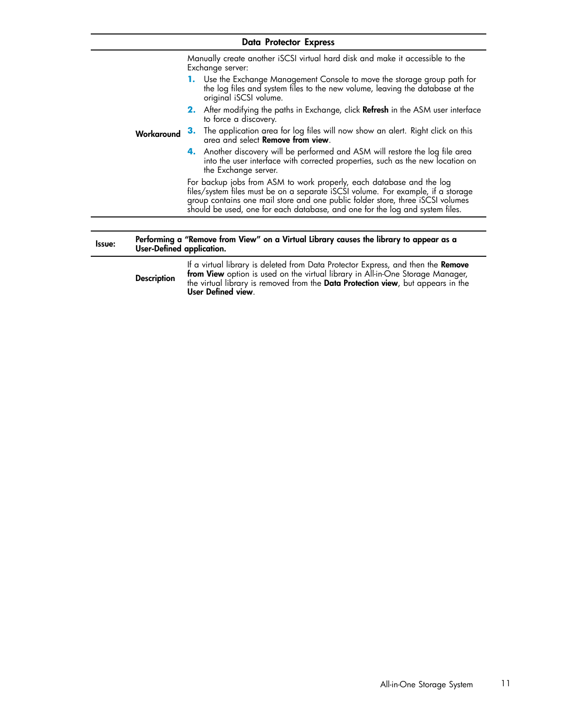|        |                           | <b>Data Protector Express</b>                                                                                                                                                                                                                                                                                              |
|--------|---------------------------|----------------------------------------------------------------------------------------------------------------------------------------------------------------------------------------------------------------------------------------------------------------------------------------------------------------------------|
|        |                           | Manually create another iSCSI virtual hard disk and make it accessible to the<br>Exchange server:                                                                                                                                                                                                                          |
|        |                           | 1. Use the Exchange Management Console to move the storage group path for<br>the log files and system files to the new volume, leaving the database at the<br>original iSCSI volume.                                                                                                                                       |
|        |                           | 2. After modifying the paths in Exchange, click Refresh in the ASM user interface<br>to force a discovery.                                                                                                                                                                                                                 |
|        | Workaround                | The application area for log files will now show an alert. Right click on this<br>з.<br>area and select Remove from view.                                                                                                                                                                                                  |
|        |                           | 4. Another discovery will be performed and ASM will restore the log file area<br>into the user interface with corrected properties, such as the new location on<br>the Exchange server.                                                                                                                                    |
|        |                           | For backup jobs from ASM to work properly, each database and the log<br>files/system files must be on a separate iSCSI volume. For example, if a storage<br>group contains one mail store and one public folder store, three iSCSI volumes<br>should be used, one for each database, and one for the log and system files. |
|        |                           |                                                                                                                                                                                                                                                                                                                            |
| Issue: | User-Defined application. | Performing a "Remove from View" on a Virtual Library causes the library to appear as a                                                                                                                                                                                                                                     |
|        | <b>Description</b>        | If a virtual library is deleted from Data Protector Express, and then the Remove<br>from View option is used on the virtual library in All-in-One Storage Manager,<br>the virtual library is removed from the Data Protection view, but appears in the<br>User Defined view.                                               |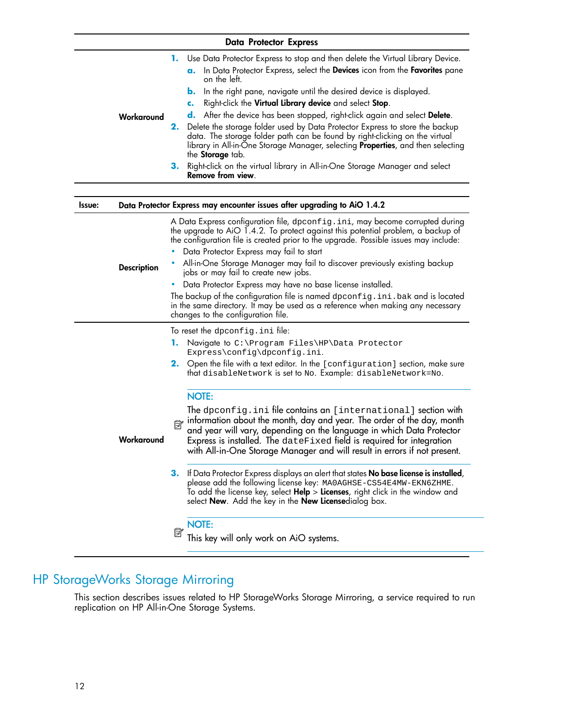#### Data Protector Express

<span id="page-11-0"></span>

|            | 1. Use Data Protector Express to stop and then delete the Virtual Library Device.                                                                                                                                                                                                    |
|------------|--------------------------------------------------------------------------------------------------------------------------------------------------------------------------------------------------------------------------------------------------------------------------------------|
|            | In Data Protector Express, select the Devices icon from the Favorites pane<br><b>a.</b><br>on the left.                                                                                                                                                                              |
|            | <b>b.</b> In the right pane, navigate until the desired device is displayed.                                                                                                                                                                                                         |
|            | Right-click the Virtual Library device and select Stop.                                                                                                                                                                                                                              |
| Workaround | d. After the device has been stopped, right-click again and select Delete.                                                                                                                                                                                                           |
|            | 2. Delete the storage folder used by Data Protector Express to store the backup<br>data. The storage folder path can be found by right-clicking on the virtual<br>library in All-in-One Storage Manager, selecting <b>Properties</b> , and then selecting<br>the <b>Storage</b> tab. |
|            | 3. Right-click on the virtual library in All-in-One Storage Manager and select<br>Remove from view.                                                                                                                                                                                  |

| <b>Issue:</b>      | Data Protector Express may encounter issues after upgrading to AiO 1.4.2                                                                                                                                                                                                                                                                                                |
|--------------------|-------------------------------------------------------------------------------------------------------------------------------------------------------------------------------------------------------------------------------------------------------------------------------------------------------------------------------------------------------------------------|
|                    | A Data Express contiguration tile, dpconfig.ini, may become corrupted during<br>the upgrade to AiO 1.4.2. To protect against this potential problem, a backup of<br>the configuration file is created prior to the upgrade. Possible issues may include:                                                                                                                |
|                    | Data Protector Express may fail to start                                                                                                                                                                                                                                                                                                                                |
| <b>Description</b> | • All-in-One Storage Manager may fail to discover previously existing backup<br>jobs or may fail to create new jobs.                                                                                                                                                                                                                                                    |
|                    | Data Protector Express may have no base license installed.<br>٠                                                                                                                                                                                                                                                                                                         |
|                    | The backup of the configuration file is named $\text{d}$ pconfig.ini.bak and is located<br>in the same directory. It may be used as a reference when making any necessary<br>changes to the configuration file.                                                                                                                                                         |
|                    | To reset the dpconfig.ini file:                                                                                                                                                                                                                                                                                                                                         |
|                    | 1.<br>Navigate to C:\Program Files\HP\Data Protector<br>Express\config\dpconfig.ini.                                                                                                                                                                                                                                                                                    |
|                    | 2. Open the file with a text editor. In the [configuration] section, make sure<br>that disableNetwork is set to No. Example: disableNetwork=No.                                                                                                                                                                                                                         |
|                    | <b>NOTE:</b>                                                                                                                                                                                                                                                                                                                                                            |
| Workaround         | The dpconfig.ini file contains an [international] section with<br>information about the month, day and year. The order of the day, month<br>and year will vary, depending on the language in which Data Protector<br>Express is installed. The dateFixed field is required for integration<br>with All-in-One Storage Manager and will result in errors if not present. |
|                    | 3. If Data Protector Express displays an alert that states No base license is installed,<br>please add the following license key: MAOAGHSE-CS54E4MW-EKN6ZHME.<br>To add the license key, select <b>Help</b> $>$ <b>Licenses</b> , right click in the window and<br>select <b>New</b> . Add the key in the <b>New License</b> dialog box.                                |
|                    | <b>NOTE:</b>                                                                                                                                                                                                                                                                                                                                                            |
|                    | Ë<br>This key will only work on AiO systems.                                                                                                                                                                                                                                                                                                                            |

## HP StorageWorks Storage Mirroring

This section describes issues related to HP StorageWorks Storage Mirroring, a service required to run replication on HP All-in-One Storage Systems.